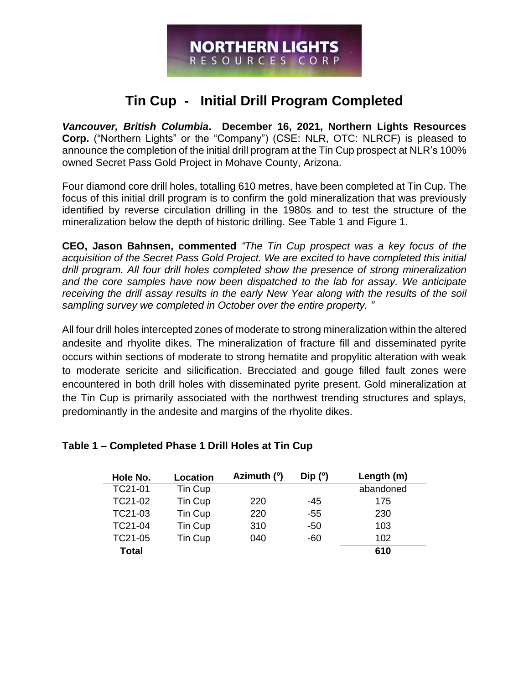# **Tin Cup - Initial Drill Program Completed**

*Vancouver, British Columbia***. December 16, 2021, Northern Lights Resources Corp.** ("Northern Lights" or the "Company") (CSE: NLR, OTC: NLRCF) is pleased to announce the completion of the initial drill program at the Tin Cup prospect at NLR's 100% owned Secret Pass Gold Project in Mohave County, Arizona.

Four diamond core drill holes, totalling 610 metres, have been completed at Tin Cup. The focus of this initial drill program is to confirm the gold mineralization that was previously identified by reverse circulation drilling in the 1980s and to test the structure of the mineralization below the depth of historic drilling. See Table 1 and Figure 1.

**CEO, Jason Bahnsen, commented** *"The Tin Cup prospect was a key focus of the acquisition of the Secret Pass Gold Project. We are excited to have completed this initial drill program. All four drill holes completed show the presence of strong mineralization and the core samples have now been dispatched to the lab for assay. We anticipate receiving the drill assay results in the early New Year along with the results of the soil sampling survey we completed in October over the entire property. "*

All four drill holes intercepted zones of moderate to strong mineralization within the altered andesite and rhyolite dikes. The mineralization of fracture fill and disseminated pyrite occurs within sections of moderate to strong hematite and propylitic alteration with weak to moderate sericite and silicification. Brecciated and gouge filled fault zones were encountered in both drill holes with disseminated pyrite present. Gold mineralization at the Tin Cup is primarily associated with the northwest trending structures and splays, predominantly in the andesite and margins of the rhyolite dikes.

| Hole No.     | Location | Azimuth (°) | Dip $(°)$ | Length (m) |
|--------------|----------|-------------|-----------|------------|
| TC21-01      | Tin Cup  |             |           | abandoned  |
| TC21-02      | Tin Cup  | 220         | -45       | 175        |
| TC21-03      | Tin Cup  | 220         | -55       | 230        |
| TC21-04      | Tin Cup  | 310         | -50       | 103        |
| TC21-05      | Tin Cup  | 040         | -60       | 102        |
| <b>Total</b> |          |             |           | 610        |

## **Table 1 – Completed Phase 1 Drill Holes at Tin Cup**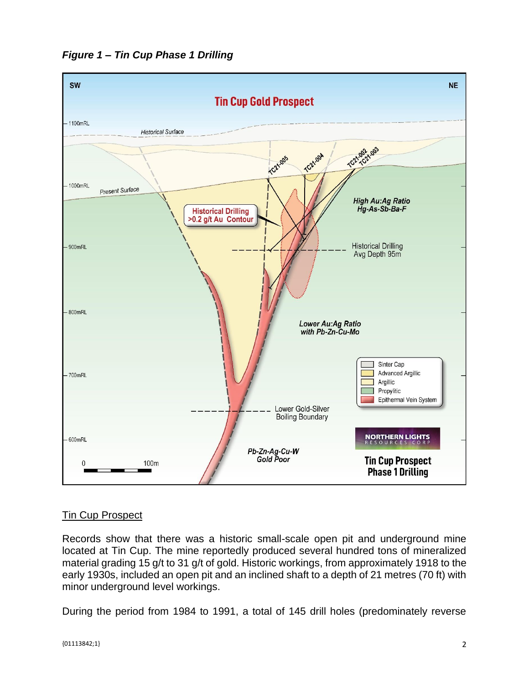

*Figure 1 – Tin Cup Phase 1 Drilling*

## Tin Cup Prospect

Records show that there was a historic small-scale open pit and underground mine located at Tin Cup. The mine reportedly produced several hundred tons of mineralized material grading 15 g/t to 31 g/t of gold. Historic workings, from approximately 1918 to the early 1930s, included an open pit and an inclined shaft to a depth of 21 metres (70 ft) with minor underground level workings.

During the period from 1984 to 1991, a total of 145 drill holes (predominately reverse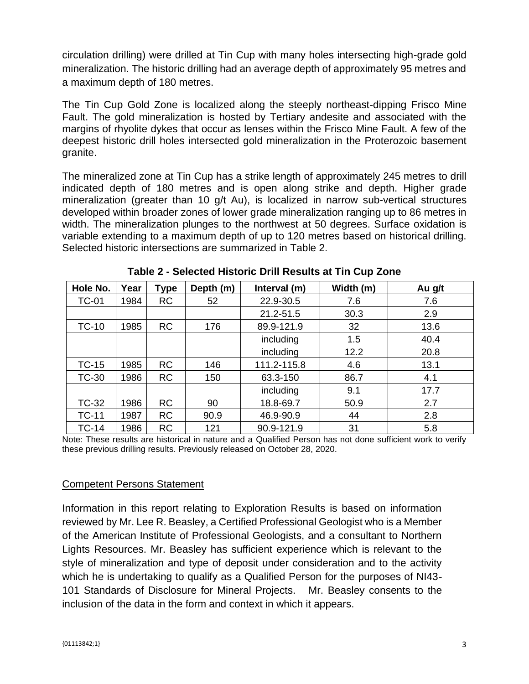circulation drilling) were drilled at Tin Cup with many holes intersecting high-grade gold mineralization. The historic drilling had an average depth of approximately 95 metres and a maximum depth of 180 metres.

The Tin Cup Gold Zone is localized along the steeply northeast-dipping Frisco Mine Fault. The gold mineralization is hosted by Tertiary andesite and associated with the margins of rhyolite dykes that occur as lenses within the Frisco Mine Fault. A few of the deepest historic drill holes intersected gold mineralization in the Proterozoic basement granite.

The mineralized zone at Tin Cup has a strike length of approximately 245 metres to drill indicated depth of 180 metres and is open along strike and depth. Higher grade mineralization (greater than 10 g/t Au), is localized in narrow sub-vertical structures developed within broader zones of lower grade mineralization ranging up to 86 metres in width. The mineralization plunges to the northwest at 50 degrees. Surface oxidation is variable extending to a maximum depth of up to 120 metres based on historical drilling. Selected historic intersections are summarized in Table 2.

| Hole No.     | Year | Type      | Depth (m) | Interval (m) | Width (m) | Au g/t |
|--------------|------|-----------|-----------|--------------|-----------|--------|
| <b>TC-01</b> | 1984 | <b>RC</b> | 52        | 22.9-30.5    | 7.6       | 7.6    |
|              |      |           |           | 21.2-51.5    | 30.3      | 2.9    |
| $TC-10$      | 1985 | <b>RC</b> | 176       | 89.9-121.9   | 32        | 13.6   |
|              |      |           |           | including    | 1.5       | 40.4   |
|              |      |           |           | including    | 12.2      | 20.8   |
| $TC-15$      | 985  | <b>RC</b> | 146       | 111.2-115.8  | 4.6       | 13.1   |
| <b>TC-30</b> | 1986 | <b>RC</b> | 150       | 63.3-150     | 86.7      | 4.1    |
|              |      |           |           | including    | 9.1       | 17.7   |
| <b>TC-32</b> | 1986 | <b>RC</b> | 90        | 18.8-69.7    | 50.9      | 2.7    |
| <b>TC-11</b> | 1987 | <b>RC</b> | 90.9      | 46.9-90.9    | 44        | 2.8    |
| $TC-14$      | 1986 | <b>RC</b> | 121       | 90.9-121.9   | 31        | 5.8    |

**Table 2 - Selected Historic Drill Results at Tin Cup Zone**

Note: These results are historical in nature and a Qualified Person has not done sufficient work to verify these previous drilling results. Previously released on October 28, 2020.

## Competent Persons Statement

Information in this report relating to Exploration Results is based on information reviewed by Mr. Lee R. Beasley, a Certified Professional Geologist who is a Member of the American Institute of Professional Geologists, and a consultant to Northern Lights Resources. Mr. Beasley has sufficient experience which is relevant to the style of mineralization and type of deposit under consideration and to the activity which he is undertaking to qualify as a Qualified Person for the purposes of NI43- 101 Standards of Disclosure for Mineral Projects. Mr. Beasley consents to the inclusion of the data in the form and context in which it appears.